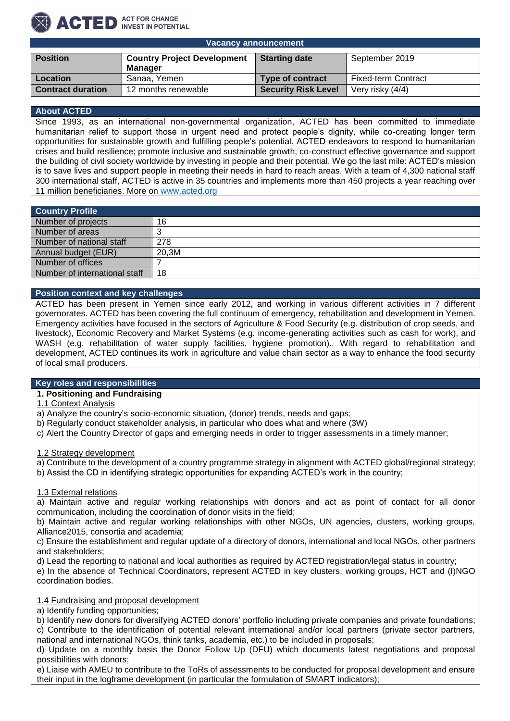# ACTED ACT FOR CHANGE

| <b>Position</b>          | <b>Country Project Development</b> | <b>Starting date</b>       | September 2019             |
|--------------------------|------------------------------------|----------------------------|----------------------------|
|                          | Manager                            |                            |                            |
| Location                 | Sanaa, Yemen                       | <b>Type of contract</b>    | <b>Fixed-term Contract</b> |
| <b>Contract duration</b> | 12 months renewable                | <b>Security Risk Level</b> | Very risky (4/4)           |

#### **About ACTED**

Since 1993, as an international non-governmental organization, ACTED has been committed to immediate humanitarian relief to support those in urgent need and protect people's dignity, while co-creating longer term opportunities for sustainable growth and fulfilling people's potential. ACTED endeavors to respond to humanitarian crises and build resilience; promote inclusive and sustainable growth; co-construct effective governance and support the building of civil society worldwide by investing in people and their potential. We go the last mile: ACTED's mission is to save lives and support people in meeting their needs in hard to reach areas. With a team of 4,300 national staff 300 international staff, ACTED is active in 35 countries and implements more than 450 projects a year reaching over 11 million beneficiaries. More on [www.acted.org](http://www.acted.org/)

| Country Profile               |       |
|-------------------------------|-------|
| Number of projects            | 16    |
| Number of areas               |       |
| Number of national staff      | 278   |
| Annual budget (EUR)           | 20,3M |
| Number of offices             |       |
| Number of international staff | 18    |

## **Position context and key challenges**

ACTED has been present in Yemen since early 2012, and working in various different activities in 7 different governorates. ACTED has been covering the full continuum of emergency, rehabilitation and development in Yemen. Emergency activities have focused in the sectors of Agriculture & Food Security (e.g. distribution of crop seeds, and livestock), Economic Recovery and Market Systems (e.g. income-generating activities such as cash for work), and WASH (e.g. rehabilitation of water supply facilities, hygiene promotion).. With regard to rehabilitation and development, ACTED continues its work in agriculture and value chain sector as a way to enhance the food security of local small producers.

#### **Key roles and responsibilities**

## **1. Positioning and Fundraising**

1.1 Context Analysis

- a) Analyze the country's socio-economic situation, (donor) trends, needs and gaps;
- b) Regularly conduct stakeholder analysis, in particular who does what and where (3W)
- c) Alert the Country Director of gaps and emerging needs in order to trigger assessments in a timely manner;

1.2 Strategy development

a) Contribute to the development of a country programme strategy in alignment with ACTED global/regional strategy;

b) Assist the CD in identifying strategic opportunities for expanding ACTED's work in the country;

## 1.3 External relations

a) Maintain active and regular working relationships with donors and act as point of contact for all donor communication, including the coordination of donor visits in the field;

b) Maintain active and regular working relationships with other NGOs, UN agencies, clusters, working groups, Alliance2015, consortia and academia;

c) Ensure the establishment and regular update of a directory of donors, international and local NGOs, other partners and stakeholders;

d) Lead the reporting to national and local authorities as required by ACTED registration/legal status in country;

e) In the absence of Technical Coordinators, represent ACTED in key clusters, working groups, HCT and (I)NGO coordination bodies.

## 1.4 Fundraising and proposal development

a) Identify funding opportunities;

b) Identify new donors for diversifying ACTED donors' portfolio including private companies and private foundations; c) Contribute to the identification of potential relevant international and/or local partners (private sector partners, national and international NGOs, think tanks, academia, etc.) to be included in proposals;

d) Update on a monthly basis the Donor Follow Up (DFU) which documents latest negotiations and proposal possibilities with donors;

e) Liaise with AMEU to contribute to the ToRs of assessments to be conducted for proposal development and ensure their input in the logframe development (in particular the formulation of SMART indicators);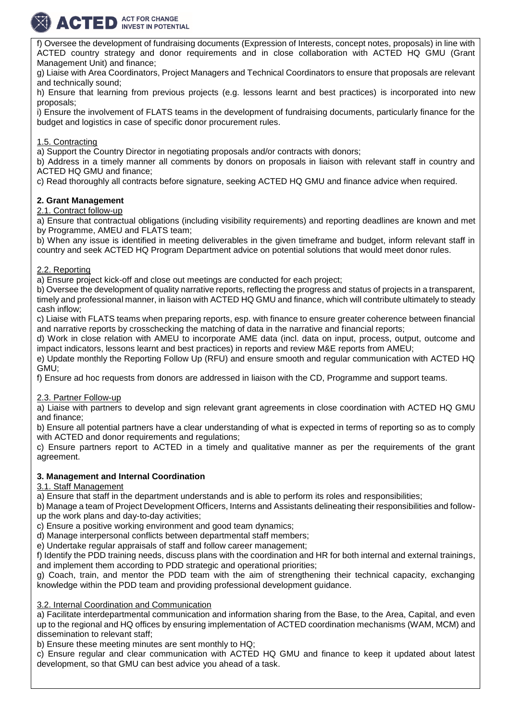

f) Oversee the development of fundraising documents (Expression of Interests, concept notes, proposals) in line with ACTED country strategy and donor requirements and in close collaboration with ACTED HQ GMU (Grant Management Unit) and finance;

g) Liaise with Area Coordinators, Project Managers and Technical Coordinators to ensure that proposals are relevant and technically sound;

h) Ensure that learning from previous projects (e.g. lessons learnt and best practices) is incorporated into new proposals;

i) Ensure the involvement of FLATS teams in the development of fundraising documents, particularly finance for the budget and logistics in case of specific donor procurement rules.

# 1.5. Contracting

a) Support the Country Director in negotiating proposals and/or contracts with donors;

b) Address in a timely manner all comments by donors on proposals in liaison with relevant staff in country and ACTED HQ GMU and finance;

c) Read thoroughly all contracts before signature, seeking ACTED HQ GMU and finance advice when required.

## **2. Grant Management**

2.1. Contract follow-up

a) Ensure that contractual obligations (including visibility requirements) and reporting deadlines are known and met by Programme, AMEU and FLATS team;

b) When any issue is identified in meeting deliverables in the given timeframe and budget, inform relevant staff in country and seek ACTED HQ Program Department advice on potential solutions that would meet donor rules.

## 2.2. Reporting

a) Ensure project kick-off and close out meetings are conducted for each project;

b) Oversee the development of quality narrative reports, reflecting the progress and status of projects in a transparent, timely and professional manner, in liaison with ACTED HQ GMU and finance, which will contribute ultimately to steady cash inflow;

c) Liaise with FLATS teams when preparing reports, esp. with finance to ensure greater coherence between financial and narrative reports by crosschecking the matching of data in the narrative and financial reports;

d) Work in close relation with AMEU to incorporate AME data (incl. data on input, process, output, outcome and impact indicators, lessons learnt and best practices) in reports and review M&E reports from AMEU;

e) Update monthly the Reporting Follow Up (RFU) and ensure smooth and regular communication with ACTED HQ GMU;

f) Ensure ad hoc requests from donors are addressed in liaison with the CD, Programme and support teams.

## 2.3. Partner Follow-up

a) Liaise with partners to develop and sign relevant grant agreements in close coordination with ACTED HQ GMU and finance;

b) Ensure all potential partners have a clear understanding of what is expected in terms of reporting so as to comply with ACTED and donor requirements and requiations:

c) Ensure partners report to ACTED in a timely and qualitative manner as per the requirements of the grant agreement.

## **3. Management and Internal Coordination**

3.1. Staff Management

a) Ensure that staff in the department understands and is able to perform its roles and responsibilities;

b) Manage a team of Project Development Officers, Interns and Assistants delineating their responsibilities and followup the work plans and day-to-day activities;

c) Ensure a positive working environment and good team dynamics;

d) Manage interpersonal conflicts between departmental staff members;

e) Undertake regular appraisals of staff and follow career management;

f) Identify the PDD training needs, discuss plans with the coordination and HR for both internal and external trainings, and implement them according to PDD strategic and operational priorities;

g) Coach, train, and mentor the PDD team with the aim of strengthening their technical capacity, exchanging knowledge within the PDD team and providing professional development guidance.

## 3.2. Internal Coordination and Communication

a) Facilitate interdepartmental communication and information sharing from the Base, to the Area, Capital, and even up to the regional and HQ offices by ensuring implementation of ACTED coordination mechanisms (WAM, MCM) and dissemination to relevant staff;

b) Ensure these meeting minutes are sent monthly to HQ;

c) Ensure regular and clear communication with ACTED HQ GMU and finance to keep it updated about latest development, so that GMU can best advice you ahead of a task.